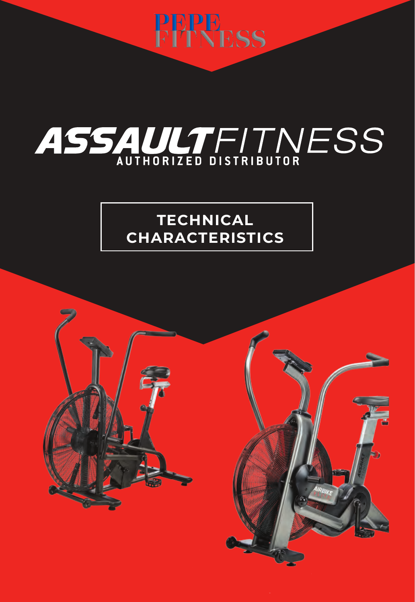

# ASSAULTFITNESS

### **TECHNICAL CHARACTERISTICS**

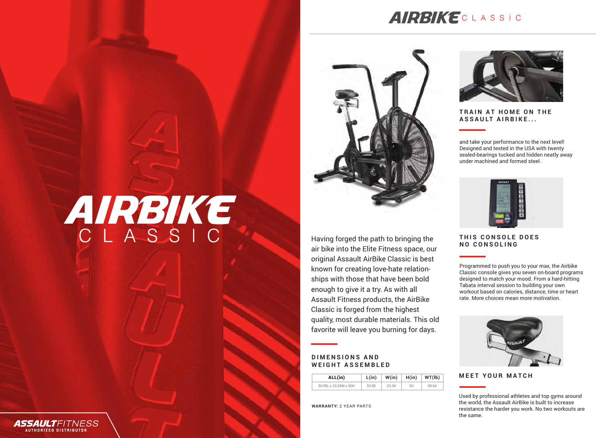### **AIRBIKECLASSIC**



Having forged the path to bringing the air bike into the Elite Fitness space, our original Assault AirBike Classic is best known for creating love-hate relationships with those that have been bold enough to give it a try. As with all Assault Fitness products, the AirBike Classic is forged from the highest quality, most durable materials. This old favorite will leave you burning for days.

> **W(in)** 23.34

**L(in)**

**H(in)** 50

**WT(lb)** 95.64

**WARRANTY:** 2 YEAR PARTS

**ALL(in)** 50.95L x 23.34W x 50H 50.95

**DIMENSIONS AND WEIGHT ASSEMBLED**



**TRAIN AT HOME ON THE ASSAULT AIRBIKE...**

and take your performance to the next level! Designed and tested in the USA with twenty sealed-bearings tucked and hidden neatly away under machined and formed steel.



#### **THIS CONSOLE DOES NO CONSOLING**

Programmed to push you to your max, the Airbike Classic console gives you seven on-board programs designed to match your mood. From a hard-hitting Tabata interval session to building your own workout based on calories, distance, time or heart rate. More choices mean more motivation.



#### **MEET YOUR MATCH**

Used by professional athletes and top gyms around the world, the Assault AirBike is built to increase resistance the harder you work. No two workouts are the same.

## AIRBIKE CLASSIC



**AUTHORIZED DISTRIBUTOR**